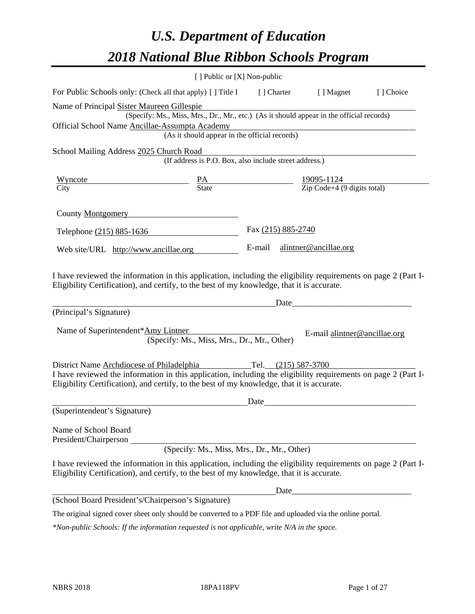# *U.S. Department of Education 2018 National Blue Ribbon Schools Program*

|                                                                                                                                                                                                                                                                               | [ ] Public or [X] Non-public                                                                                                                                  |                    |                              |           |
|-------------------------------------------------------------------------------------------------------------------------------------------------------------------------------------------------------------------------------------------------------------------------------|---------------------------------------------------------------------------------------------------------------------------------------------------------------|--------------------|------------------------------|-----------|
| For Public Schools only: (Check all that apply) [] Title I [] Charter [] Magnet                                                                                                                                                                                               |                                                                                                                                                               |                    |                              | [] Choice |
| Name of Principal Sister Maureen Gillespie<br>Official School Name Ancillae-Assumpta Academy                                                                                                                                                                                  | (Specify: Ms., Miss, Mrs., Dr., Mr., etc.) (As it should appear in the official records)<br>Assumpta Academy<br>(As it should appear in the official records) |                    |                              |           |
| School Mailing Address 2025 Church Road                                                                                                                                                                                                                                       | (If address is P.O. Box, also include street address.)                                                                                                        |                    |                              |           |
| $\frac{\text{Wyncote}}{\text{City}}$ $\frac{\text{PA}}{\text{State}}$ $\frac{19095-1124}{\text{Zip Code}+4 (9 digits total)}$                                                                                                                                                 |                                                                                                                                                               |                    |                              |           |
|                                                                                                                                                                                                                                                                               |                                                                                                                                                               |                    |                              |           |
| County <u>Montgomery</u>                                                                                                                                                                                                                                                      |                                                                                                                                                               |                    |                              |           |
| Telephone (215) 885-1636                                                                                                                                                                                                                                                      |                                                                                                                                                               | Fax (215) 885-2740 |                              |           |
| Web site/URL http://www.ancillae.org                                                                                                                                                                                                                                          |                                                                                                                                                               |                    | E-mail alintner@ancillae.org |           |
| Eligibility Certification), and certify, to the best of my knowledge, that it is accurate.<br>(Principal's Signature)<br>Name of Superintendent*Amy Lintner                                                                                                                   | (Specify: Ms., Miss, Mrs., Dr., Mr., Other)                                                                                                                   | Date_              | E-mail alintner@ancillae.org |           |
| District Name Archdiocese of Philadelphia Tel. (215) 587-3700<br>I have reviewed the information in this application, including the eligibility requirements on page 2 (Part I-<br>Eligibility Certification), and certify, to the best of my knowledge, that it is accurate. |                                                                                                                                                               |                    |                              |           |
| (Superintendent's Signature)                                                                                                                                                                                                                                                  |                                                                                                                                                               | Date               |                              |           |
| Name of School Board<br>President/Chairperson<br>I have reviewed the information in this application, including the eligibility requirements on page 2 (Part I-<br>Eligibility Certification), and certify, to the best of my knowledge, that it is accurate.                 | (Specify: Ms., Miss, Mrs., Dr., Mr., Other)                                                                                                                   |                    |                              |           |
| (School Board President's/Chairperson's Signature)                                                                                                                                                                                                                            |                                                                                                                                                               |                    |                              |           |
| The original signed cover sheet only should be converted to a PDF file and uploaded via the online portal.                                                                                                                                                                    |                                                                                                                                                               |                    |                              |           |

*\*Non-public Schools: If the information requested is not applicable, write N/A in the space.*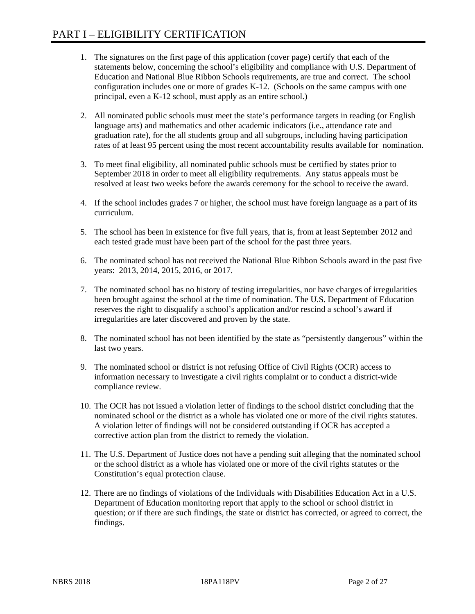- 1. The signatures on the first page of this application (cover page) certify that each of the statements below, concerning the school's eligibility and compliance with U.S. Department of Education and National Blue Ribbon Schools requirements, are true and correct. The school configuration includes one or more of grades K-12. (Schools on the same campus with one principal, even a K-12 school, must apply as an entire school.)
- 2. All nominated public schools must meet the state's performance targets in reading (or English language arts) and mathematics and other academic indicators (i.e., attendance rate and graduation rate), for the all students group and all subgroups, including having participation rates of at least 95 percent using the most recent accountability results available for nomination.
- 3. To meet final eligibility, all nominated public schools must be certified by states prior to September 2018 in order to meet all eligibility requirements. Any status appeals must be resolved at least two weeks before the awards ceremony for the school to receive the award.
- 4. If the school includes grades 7 or higher, the school must have foreign language as a part of its curriculum.
- 5. The school has been in existence for five full years, that is, from at least September 2012 and each tested grade must have been part of the school for the past three years.
- 6. The nominated school has not received the National Blue Ribbon Schools award in the past five years: 2013, 2014, 2015, 2016, or 2017.
- 7. The nominated school has no history of testing irregularities, nor have charges of irregularities been brought against the school at the time of nomination. The U.S. Department of Education reserves the right to disqualify a school's application and/or rescind a school's award if irregularities are later discovered and proven by the state.
- 8. The nominated school has not been identified by the state as "persistently dangerous" within the last two years.
- 9. The nominated school or district is not refusing Office of Civil Rights (OCR) access to information necessary to investigate a civil rights complaint or to conduct a district-wide compliance review.
- 10. The OCR has not issued a violation letter of findings to the school district concluding that the nominated school or the district as a whole has violated one or more of the civil rights statutes. A violation letter of findings will not be considered outstanding if OCR has accepted a corrective action plan from the district to remedy the violation.
- 11. The U.S. Department of Justice does not have a pending suit alleging that the nominated school or the school district as a whole has violated one or more of the civil rights statutes or the Constitution's equal protection clause.
- 12. There are no findings of violations of the Individuals with Disabilities Education Act in a U.S. Department of Education monitoring report that apply to the school or school district in question; or if there are such findings, the state or district has corrected, or agreed to correct, the findings.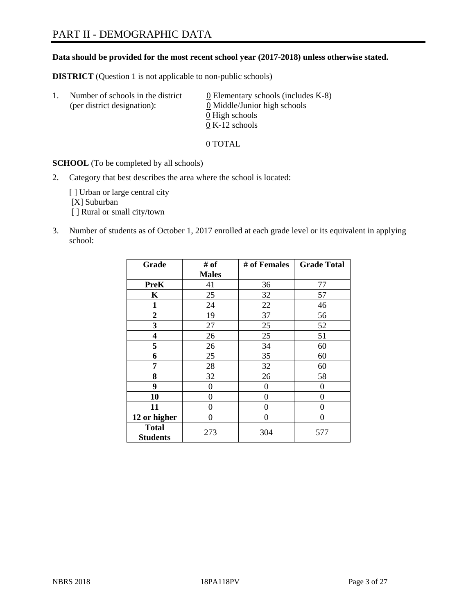# PART II - DEMOGRAPHIC DATA

**Data should be provided for the most recent school year (2017-2018) unless otherwise stated.** 

**DISTRICT** (Question 1 is not applicable to non-public schools)

| Τ. | Number of schools in the district<br>(per district designation): | 0 Elementary schools (includes K-8)<br>0 Middle/Junior high schools |  |
|----|------------------------------------------------------------------|---------------------------------------------------------------------|--|
|    |                                                                  | 0 High schools                                                      |  |
|    |                                                                  | $0 K-12$ schools                                                    |  |

0 TOTAL

**SCHOOL** (To be completed by all schools)

2. Category that best describes the area where the school is located:

[] Urban or large central city [X] Suburban [] Rural or small city/town

3. Number of students as of October 1, 2017 enrolled at each grade level or its equivalent in applying school:

| Grade                           | # of         | # of Females | <b>Grade Total</b> |
|---------------------------------|--------------|--------------|--------------------|
|                                 | <b>Males</b> |              |                    |
| <b>PreK</b>                     | 41           | 36           | 77                 |
| K                               | 25           | 32           | 57                 |
| $\mathbf{1}$                    | 24           | 22           | 46                 |
| 2                               | 19           | 37           | 56                 |
| 3                               | 27           | 25           | 52                 |
| $\overline{\mathbf{4}}$         | 26           | 25           | 51                 |
| 5                               | 26           | 34           | 60                 |
| 6                               | 25           | 35           | 60                 |
| 7                               | 28           | 32           | 60                 |
| 8                               | 32           | 26           | 58                 |
| 9                               | 0            | $\theta$     | 0                  |
| 10                              | 0            | $\theta$     | 0                  |
| 11                              | 0            | 0            | 0                  |
| 12 or higher                    | 0            | 0            | 0                  |
| <b>Total</b><br><b>Students</b> | 273          | 304          | 577                |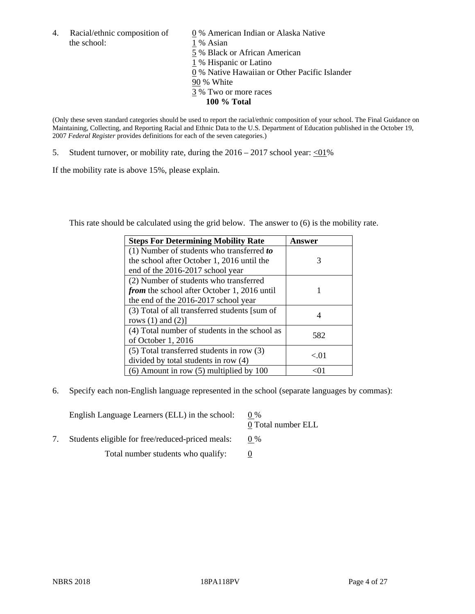4. Racial/ethnic composition of  $\qquad 0\%$  American Indian or Alaska Native the school: 1 % Asian

 % Black or African American % Hispanic or Latino % Native Hawaiian or Other Pacific Islander 90 % White % Two or more races **100 % Total**

(Only these seven standard categories should be used to report the racial/ethnic composition of your school. The Final Guidance on Maintaining, Collecting, and Reporting Racial and Ethnic Data to the U.S. Department of Education published in the October 19, 2007 *Federal Register* provides definitions for each of the seven categories.)

5. Student turnover, or mobility rate, during the  $2016 - 2017$  school year:  $\langle 01\%$ 

If the mobility rate is above 15%, please explain.

This rate should be calculated using the grid below. The answer to (6) is the mobility rate.

| <b>Steps For Determining Mobility Rate</b>         | <b>Answer</b> |
|----------------------------------------------------|---------------|
| (1) Number of students who transferred to          |               |
| the school after October 1, 2016 until the         | 3             |
| end of the 2016-2017 school year                   |               |
| (2) Number of students who transferred             |               |
| <i>from</i> the school after October 1, 2016 until | 1             |
| the end of the 2016-2017 school year               |               |
| (3) Total of all transferred students [sum of      |               |
| rows $(1)$ and $(2)$ ]                             | 4             |
| (4) Total number of students in the school as      |               |
| of October 1, 2016                                 | 582           |
| $(5)$ Total transferred students in row $(3)$      |               |
| divided by total students in row (4)               | < 01          |
| $(6)$ Amount in row $(5)$ multiplied by 100        |               |

6. Specify each non-English language represented in the school (separate languages by commas):

| English Language Learners (ELL) in the school:   | $0\%$<br>0 Total number ELL |
|--------------------------------------------------|-----------------------------|
| Students eligible for free/reduced-priced meals: | $0\%$                       |
| Total number students who qualify:               |                             |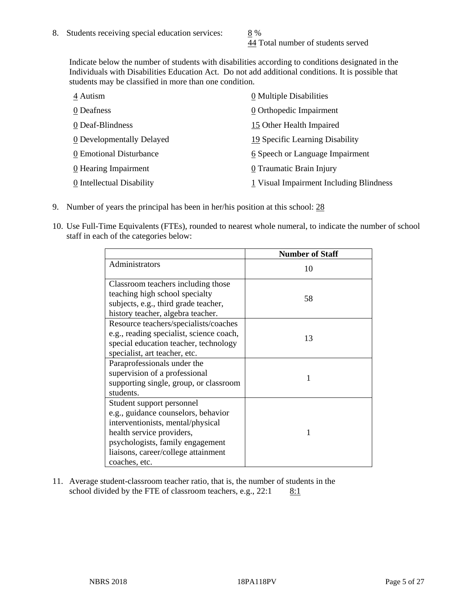44 Total number of students served

Indicate below the number of students with disabilities according to conditions designated in the Individuals with Disabilities Education Act. Do not add additional conditions. It is possible that students may be classified in more than one condition.

| 4 Autism                  | 0 Multiple Disabilities                   |
|---------------------------|-------------------------------------------|
| 0 Deafness                | 0 Orthopedic Impairment                   |
| 0 Deaf-Blindness          | 15 Other Health Impaired                  |
| 0 Developmentally Delayed | 19 Specific Learning Disability           |
| 0 Emotional Disturbance   | 6 Speech or Language Impairment           |
| 0 Hearing Impairment      | 0 Traumatic Brain Injury                  |
| 0 Intellectual Disability | $1$ Visual Impairment Including Blindness |

- 9. Number of years the principal has been in her/his position at this school: 28
- 10. Use Full-Time Equivalents (FTEs), rounded to nearest whole numeral, to indicate the number of school staff in each of the categories below:

|                                                                                                                                                                                                                                | <b>Number of Staff</b> |
|--------------------------------------------------------------------------------------------------------------------------------------------------------------------------------------------------------------------------------|------------------------|
| Administrators                                                                                                                                                                                                                 | 10                     |
| Classroom teachers including those<br>teaching high school specialty<br>subjects, e.g., third grade teacher,<br>history teacher, algebra teacher.                                                                              | 58                     |
| Resource teachers/specialists/coaches<br>e.g., reading specialist, science coach,<br>special education teacher, technology<br>specialist, art teacher, etc.                                                                    | 13                     |
| Paraprofessionals under the<br>supervision of a professional<br>supporting single, group, or classroom<br>students.                                                                                                            | 1                      |
| Student support personnel<br>e.g., guidance counselors, behavior<br>interventionists, mental/physical<br>health service providers,<br>psychologists, family engagement<br>liaisons, career/college attainment<br>coaches, etc. |                        |

11. Average student-classroom teacher ratio, that is, the number of students in the school divided by the FTE of classroom teachers, e.g.,  $22:1$  8:1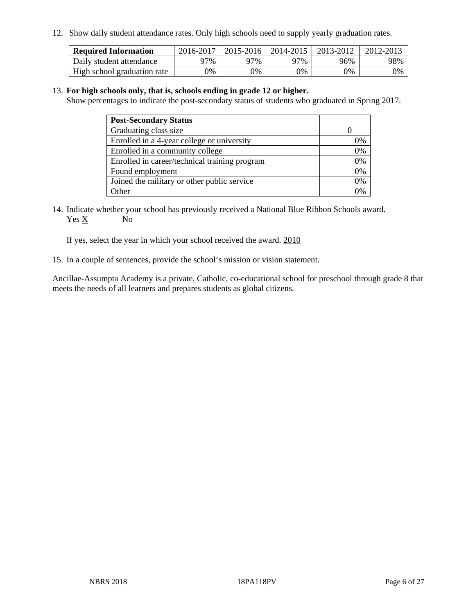12. Show daily student attendance rates. Only high schools need to supply yearly graduation rates.

| <b>Required Information</b> | 2016-2017 | 2015-2016 | 2014-2015 | 2013-2012 | 2012-2013 |
|-----------------------------|-----------|-----------|-----------|-----------|-----------|
| Daily student attendance    | 97%       | 97%       | 97%       | 96%       | 98%       |
| High school graduation rate | 0%        | 0%        | 0%        | 0%        | 9%        |

#### 13. **For high schools only, that is, schools ending in grade 12 or higher.**

Show percentages to indicate the post-secondary status of students who graduated in Spring 2017.

| <b>Post-Secondary Status</b>                  |    |
|-----------------------------------------------|----|
| Graduating class size                         |    |
| Enrolled in a 4-year college or university    | 0% |
| Enrolled in a community college               | 0% |
| Enrolled in career/technical training program | 0% |
| Found employment                              | 0% |
| Joined the military or other public service   | 0% |
| $\Delta$ ther                                 |    |

14. Indicate whether your school has previously received a National Blue Ribbon Schools award. Yes X No

If yes, select the year in which your school received the award. 2010

15. In a couple of sentences, provide the school's mission or vision statement.

Ancillae-Assumpta Academy is a private, Catholic, co-educational school for preschool through grade 8 that meets the needs of all learners and prepares students as global citizens.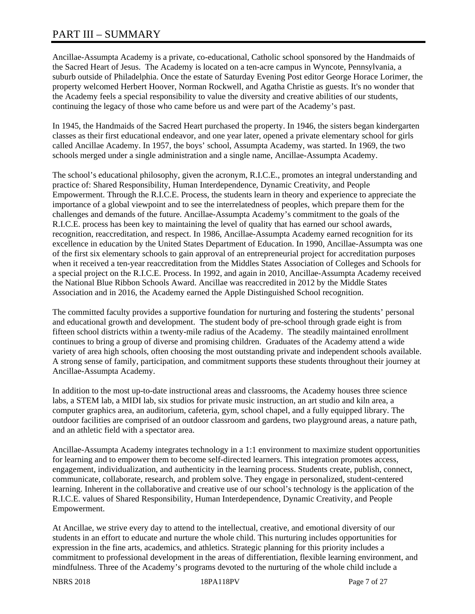# PART III – SUMMARY

Ancillae-Assumpta Academy is a private, co-educational, Catholic school sponsored by the Handmaids of the Sacred Heart of Jesus. The Academy is located on a ten-acre campus in Wyncote, Pennsylvania, a suburb outside of Philadelphia. Once the estate of Saturday Evening Post editor George Horace Lorimer, the property welcomed Herbert Hoover, Norman Rockwell, and Agatha Christie as guests. It's no wonder that the Academy feels a special responsibility to value the diversity and creative abilities of our students, continuing the legacy of those who came before us and were part of the Academy's past.

In 1945, the Handmaids of the Sacred Heart purchased the property. In 1946, the sisters began kindergarten classes as their first educational endeavor, and one year later, opened a private elementary school for girls called Ancillae Academy. In 1957, the boys' school, Assumpta Academy, was started. In 1969, the two schools merged under a single administration and a single name, Ancillae-Assumpta Academy.

The school's educational philosophy, given the acronym, R.I.C.E., promotes an integral understanding and practice of: Shared Responsibility, Human Interdependence, Dynamic Creativity, and People Empowerment. Through the R.I.C.E. Process, the students learn in theory and experience to appreciate the importance of a global viewpoint and to see the interrelatedness of peoples, which prepare them for the challenges and demands of the future. Ancillae-Assumpta Academy's commitment to the goals of the R.I.C.E. process has been key to maintaining the level of quality that has earned our school awards, recognition, reaccreditation, and respect. In 1986, Ancillae-Assumpta Academy earned recognition for its excellence in education by the United States Department of Education. In 1990, Ancillae-Assumpta was one of the first six elementary schools to gain approval of an entrepreneurial project for accreditation purposes when it received a ten-year reaccreditation from the Middles States Association of Colleges and Schools for a special project on the R.I.C.E. Process. In 1992, and again in 2010, Ancillae-Assumpta Academy received the National Blue Ribbon Schools Award. Ancillae was reaccredited in 2012 by the Middle States Association and in 2016, the Academy earned the Apple Distinguished School recognition.

The committed faculty provides a supportive foundation for nurturing and fostering the students' personal and educational growth and development. The student body of pre-school through grade eight is from fifteen school districts within a twenty-mile radius of the Academy. The steadily maintained enrollment continues to bring a group of diverse and promising children. Graduates of the Academy attend a wide variety of area high schools, often choosing the most outstanding private and independent schools available. A strong sense of family, participation, and commitment supports these students throughout their journey at Ancillae-Assumpta Academy.

In addition to the most up-to-date instructional areas and classrooms, the Academy houses three science labs, a STEM lab, a MIDI lab, six studios for private music instruction, an art studio and kiln area, a computer graphics area, an auditorium, cafeteria, gym, school chapel, and a fully equipped library. The outdoor facilities are comprised of an outdoor classroom and gardens, two playground areas, a nature path, and an athletic field with a spectator area.

Ancillae-Assumpta Academy integrates technology in a 1:1 environment to maximize student opportunities for learning and to empower them to become self-directed learners. This integration promotes access, engagement, individualization, and authenticity in the learning process. Students create, publish, connect, communicate, collaborate, research, and problem solve. They engage in personalized, student-centered learning. Inherent in the collaborative and creative use of our school's technology is the application of the R.I.C.E. values of Shared Responsibility, Human Interdependence, Dynamic Creativity, and People Empowerment.

At Ancillae, we strive every day to attend to the intellectual, creative, and emotional diversity of our students in an effort to educate and nurture the whole child. This nurturing includes opportunities for expression in the fine arts, academics, and athletics. Strategic planning for this priority includes a commitment to professional development in the areas of differentiation, flexible learning environment, and mindfulness. Three of the Academy's programs devoted to the nurturing of the whole child include a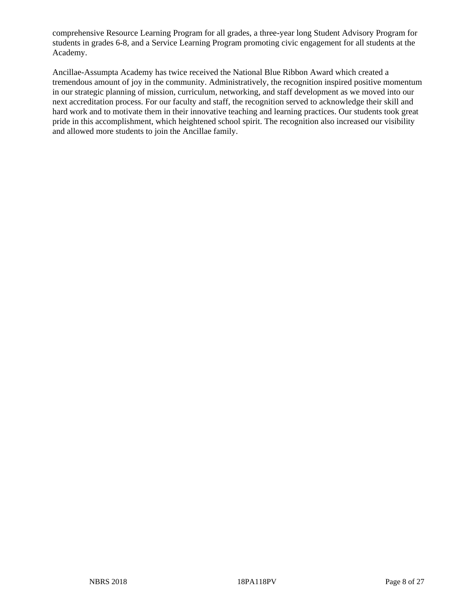comprehensive Resource Learning Program for all grades, a three-year long Student Advisory Program for students in grades 6-8, and a Service Learning Program promoting civic engagement for all students at the Academy.

Ancillae-Assumpta Academy has twice received the National Blue Ribbon Award which created a tremendous amount of joy in the community. Administratively, the recognition inspired positive momentum in our strategic planning of mission, curriculum, networking, and staff development as we moved into our next accreditation process. For our faculty and staff, the recognition served to acknowledge their skill and hard work and to motivate them in their innovative teaching and learning practices. Our students took great pride in this accomplishment, which heightened school spirit. The recognition also increased our visibility and allowed more students to join the Ancillae family.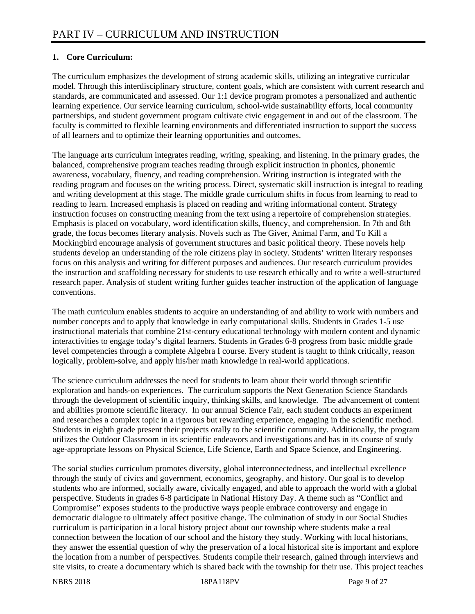### **1. Core Curriculum:**

The curriculum emphasizes the development of strong academic skills, utilizing an integrative curricular model. Through this interdisciplinary structure, content goals, which are consistent with current research and standards, are communicated and assessed. Our 1:1 device program promotes a personalized and authentic learning experience. Our service learning curriculum, school-wide sustainability efforts, local community partnerships, and student government program cultivate civic engagement in and out of the classroom. The faculty is committed to flexible learning environments and differentiated instruction to support the success of all learners and to optimize their learning opportunities and outcomes.

The language arts curriculum integrates reading, writing, speaking, and listening. In the primary grades, the balanced, comprehensive program teaches reading through explicit instruction in phonics, phonemic awareness, vocabulary, fluency, and reading comprehension. Writing instruction is integrated with the reading program and focuses on the writing process. Direct, systematic skill instruction is integral to reading and writing development at this stage. The middle grade curriculum shifts in focus from learning to read to reading to learn. Increased emphasis is placed on reading and writing informational content. Strategy instruction focuses on constructing meaning from the text using a repertoire of comprehension strategies. Emphasis is placed on vocabulary, word identification skills, fluency, and comprehension. In 7th and 8th grade, the focus becomes literary analysis. Novels such as The Giver, Animal Farm, and To Kill a Mockingbird encourage analysis of government structures and basic political theory. These novels help students develop an understanding of the role citizens play in society. Students' written literary responses focus on this analysis and writing for different purposes and audiences. Our research curriculum provides the instruction and scaffolding necessary for students to use research ethically and to write a well-structured research paper. Analysis of student writing further guides teacher instruction of the application of language conventions.

The math curriculum enables students to acquire an understanding of and ability to work with numbers and number concepts and to apply that knowledge in early computational skills. Students in Grades 1-5 use instructional materials that combine 21st-century educational technology with modern content and dynamic interactivities to engage today's digital learners. Students in Grades 6-8 progress from basic middle grade level competencies through a complete Algebra I course. Every student is taught to think critically, reason logically, problem-solve, and apply his/her math knowledge in real-world applications.

The science curriculum addresses the need for students to learn about their world through scientific exploration and hands-on experiences. The curriculum supports the Next Generation Science Standards through the development of scientific inquiry, thinking skills, and knowledge. The advancement of content and abilities promote scientific literacy. In our annual Science Fair, each student conducts an experiment and researches a complex topic in a rigorous but rewarding experience, engaging in the scientific method. Students in eighth grade present their projects orally to the scientific community. Additionally, the program utilizes the Outdoor Classroom in its scientific endeavors and investigations and has in its course of study age-appropriate lessons on Physical Science, Life Science, Earth and Space Science, and Engineering.

The social studies curriculum promotes diversity, global interconnectedness, and intellectual excellence through the study of civics and government, economics, geography, and history. Our goal is to develop students who are informed, socially aware, civically engaged, and able to approach the world with a global perspective. Students in grades 6-8 participate in National History Day. A theme such as "Conflict and Compromise" exposes students to the productive ways people embrace controversy and engage in democratic dialogue to ultimately affect positive change. The culmination of study in our Social Studies curriculum is participation in a local history project about our township where students make a real connection between the location of our school and the history they study. Working with local historians, they answer the essential question of why the preservation of a local historical site is important and explore the location from a number of perspectives. Students compile their research, gained through interviews and site visits, to create a documentary which is shared back with the township for their use. This project teaches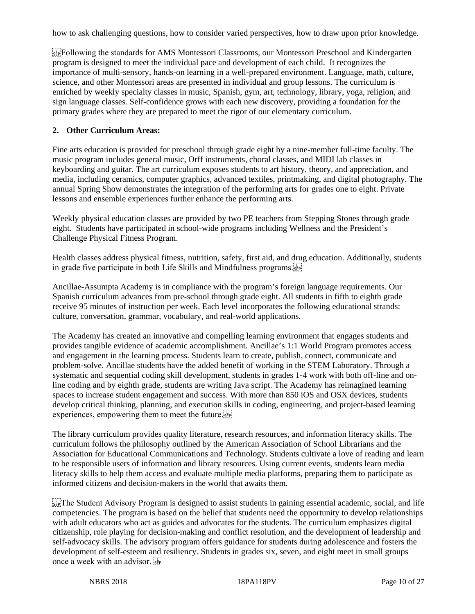how to ask challenging questions, how to consider varied perspectives, how to draw upon prior knowledge.

Frollowing the standards for AMS Montessori Classrooms, our Montessori Preschool and Kindergarten program is designed to meet the individual pace and development of each child. It recognizes the importance of multi-sensory, hands-on learning in a well-prepared environment. Language, math, culture, science, and other Montessori areas are presented in individual and group lessons. The curriculum is enriched by weekly specialty classes in music, Spanish, gym, art, technology, library, yoga, religion, and sign language classes. Self-confidence grows with each new discovery, providing a foundation for the primary grades where they are prepared to meet the rigor of our elementary curriculum.

#### **2. Other Curriculum Areas:**

Fine arts education is provided for preschool through grade eight by a nine-member full-time faculty. The music program includes general music, Orff instruments, choral classes, and MIDI lab classes in keyboarding and guitar. The art curriculum exposes students to art history, theory, and appreciation, and media, including ceramics, computer graphics, advanced textiles, printmaking, and digital photography. The annual Spring Show demonstrates the integration of the performing arts for grades one to eight. Private lessons and ensemble experiences further enhance the performing arts.

Weekly physical education classes are provided by two PE teachers from Stepping Stones through grade eight. Students have participated in school-wide programs including Wellness and the President's Challenge Physical Fitness Program.

Health classes address physical fitness, nutrition, safety, first aid, and drug education. Additionally, students in grade five participate in both Life Skills and Mindfulness programs.

Ancillae-Assumpta Academy is in compliance with the program's foreign language requirements. Our Spanish curriculum advances from pre-school through grade eight. All students in fifth to eighth grade receive 95 minutes of instruction per week. Each level incorporates the following educational strands: culture, conversation, grammar, vocabulary, and real-world applications.

The Academy has created an innovative and compelling learning environment that engages students and provides tangible evidence of academic accomplishment. Ancillae's 1:1 World Program promotes access and engagement in the learning process. Students learn to create, publish, connect, communicate and problem-solve. Ancillae students have the added benefit of working in the STEM Laboratory. Through a systematic and sequential coding skill development, students in grades 1-4 work with both off-line and online coding and by eighth grade, students are writing Java script. The Academy has reimagined learning spaces to increase student engagement and success. With more than 850 iOS and OSX devices, students develop critical thinking, planning, and execution skills in coding, engineering, and project-based learning experiences, empowering them to meet the future.

The library curriculum provides quality literature, research resources, and information literacy skills. The curriculum follows the philosophy outlined by the American Association of School Librarians and the Association for Educational Communications and Technology. Students cultivate a love of reading and learn to be responsible users of information and library resources. Using current events, students learn media literacy skills to help them access and evaluate multiple media platforms, preparing them to participate as informed citizens and decision-makers in the world that awaits them.

 $T_{\text{self}}$  The Student Advisory Program is designed to assist students in gaining essential academic, social, and life competencies. The program is based on the belief that students need the opportunity to develop relationships with adult educators who act as guides and advocates for the students. The curriculum emphasizes digital citizenship, role playing for decision-making and conflict resolution, and the development of leadership and self-advocacy skills. The advisory program offers guidance for students during adolescence and fosters the development of self-esteem and resiliency. Students in grades six, seven, and eight meet in small groups once a week with an advisor.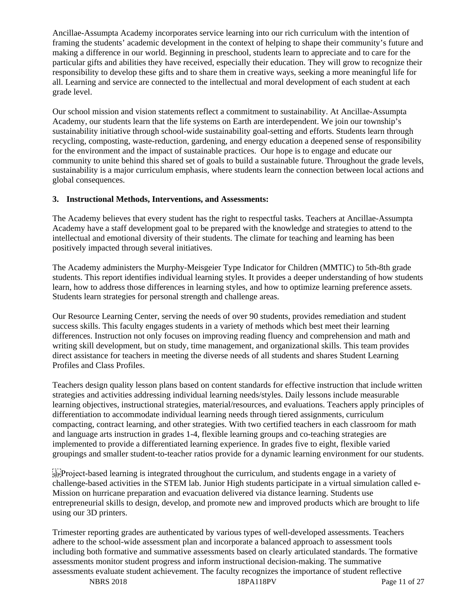Ancillae-Assumpta Academy incorporates service learning into our rich curriculum with the intention of framing the students' academic development in the context of helping to shape their community's future and making a difference in our world. Beginning in preschool, students learn to appreciate and to care for the particular gifts and abilities they have received, especially their education. They will grow to recognize their responsibility to develop these gifts and to share them in creative ways, seeking a more meaningful life for all. Learning and service are connected to the intellectual and moral development of each student at each grade level.

Our school mission and vision statements reflect a commitment to sustainability. At Ancillae-Assumpta Academy, our students learn that the life systems on Earth are interdependent. We join our township's sustainability initiative through school-wide sustainability goal-setting and efforts. Students learn through recycling, composting, waste-reduction, gardening, and energy education a deepened sense of responsibility for the environment and the impact of sustainable practices. Our hope is to engage and educate our community to unite behind this shared set of goals to build a sustainable future. Throughout the grade levels, sustainability is a major curriculum emphasis, where students learn the connection between local actions and global consequences.

#### **3. Instructional Methods, Interventions, and Assessments:**

The Academy believes that every student has the right to respectful tasks. Teachers at Ancillae-Assumpta Academy have a staff development goal to be prepared with the knowledge and strategies to attend to the intellectual and emotional diversity of their students. The climate for teaching and learning has been positively impacted through several initiatives.

The Academy administers the Murphy-Meisgeier Type Indicator for Children (MMTIC) to 5th-8th grade students. This report identifies individual learning styles. It provides a deeper understanding of how students learn, how to address those differences in learning styles, and how to optimize learning preference assets. Students learn strategies for personal strength and challenge areas.

Our Resource Learning Center, serving the needs of over 90 students, provides remediation and student success skills. This faculty engages students in a variety of methods which best meet their learning differences. Instruction not only focuses on improving reading fluency and comprehension and math and writing skill development, but on study, time management, and organizational skills. This team provides direct assistance for teachers in meeting the diverse needs of all students and shares Student Learning Profiles and Class Profiles.

Teachers design quality lesson plans based on content standards for effective instruction that include written strategies and activities addressing individual learning needs/styles. Daily lessons include measurable learning objectives, instructional strategies, material/resources, and evaluations. Teachers apply principles of differentiation to accommodate individual learning needs through tiered assignments, curriculum compacting, contract learning, and other strategies. With two certified teachers in each classroom for math and language arts instruction in grades 1-4, flexible learning groups and co-teaching strategies are implemented to provide a differentiated learning experience. In grades five to eight, flexible varied groupings and smaller student-to-teacher ratios provide for a dynamic learning environment for our students.

 $\sum_{s \in \mathcal{S}}$ Project-based learning is integrated throughout the curriculum, and students engage in a variety of challenge-based activities in the STEM lab. Junior High students participate in a virtual simulation called e-Mission on hurricane preparation and evacuation delivered via distance learning. Students use entrepreneurial skills to design, develop, and promote new and improved products which are brought to life using our 3D printers.

Trimester reporting grades are authenticated by various types of well-developed assessments. Teachers adhere to the school-wide assessment plan and incorporate a balanced approach to assessment tools including both formative and summative assessments based on clearly articulated standards. The formative assessments monitor student progress and inform instructional decision-making. The summative assessments evaluate student achievement. The faculty recognizes the importance of student reflective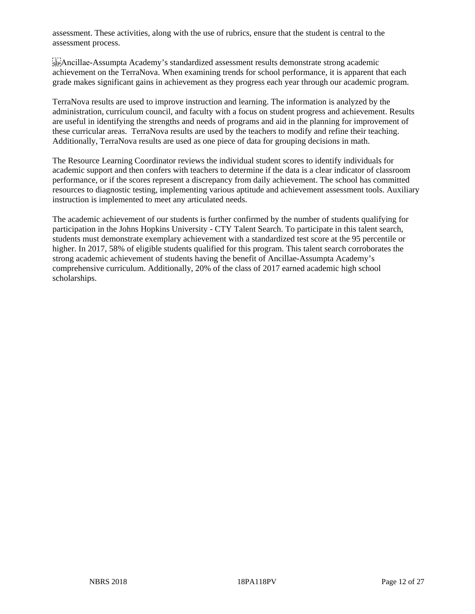assessment. These activities, along with the use of rubrics, ensure that the student is central to the assessment process.

 $\frac{1}{2}$ EP: Ancillae-Assumpta Academy's standardized assessment results demonstrate strong academic achievement on the TerraNova. When examining trends for school performance, it is apparent that each grade makes significant gains in achievement as they progress each year through our academic program.

TerraNova results are used to improve instruction and learning. The information is analyzed by the administration, curriculum council, and faculty with a focus on student progress and achievement. Results are useful in identifying the strengths and needs of programs and aid in the planning for improvement of these curricular areas. TerraNova results are used by the teachers to modify and refine their teaching. Additionally, TerraNova results are used as one piece of data for grouping decisions in math.

The Resource Learning Coordinator reviews the individual student scores to identify individuals for academic support and then confers with teachers to determine if the data is a clear indicator of classroom performance, or if the scores represent a discrepancy from daily achievement. The school has committed resources to diagnostic testing, implementing various aptitude and achievement assessment tools. Auxiliary instruction is implemented to meet any articulated needs.

The academic achievement of our students is further confirmed by the number of students qualifying for participation in the Johns Hopkins University - CTY Talent Search. To participate in this talent search, students must demonstrate exemplary achievement with a standardized test score at the 95 percentile or higher. In 2017, 58% of eligible students qualified for this program. This talent search corroborates the strong academic achievement of students having the benefit of Ancillae-Assumpta Academy's comprehensive curriculum. Additionally, 20% of the class of 2017 earned academic high school scholarships.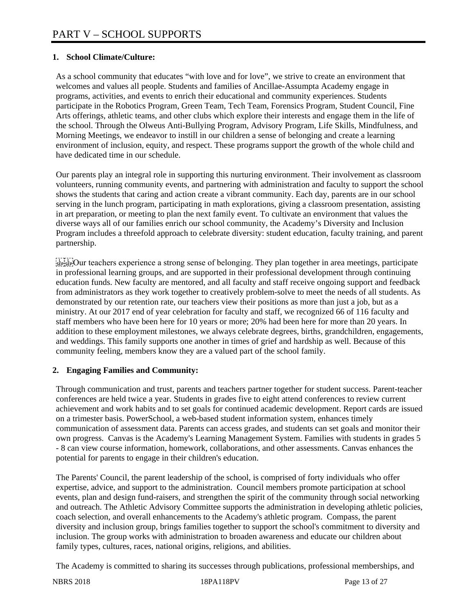### **1. School Climate/Culture:**

As a school community that educates "with love and for love", we strive to create an environment that welcomes and values all people. Students and families of Ancillae-Assumpta Academy engage in programs, activities, and events to enrich their educational and community experiences. Students participate in the Robotics Program, Green Team, Tech Team, Forensics Program, Student Council, Fine Arts offerings, athletic teams, and other clubs which explore their interests and engage them in the life of the school. Through the Olweus Anti-Bullying Program, Advisory Program, Life Skills, Mindfulness, and Morning Meetings, we endeavor to instill in our children a sense of belonging and create a learning environment of inclusion, equity, and respect. These programs support the growth of the whole child and have dedicated time in our schedule.

Our parents play an integral role in supporting this nurturing environment. Their involvement as classroom volunteers, running community events, and partnering with administration and faculty to support the school shows the students that caring and action create a vibrant community. Each day, parents are in our school serving in the lunch program, participating in math explorations, giving a classroom presentation, assisting in art preparation, or meeting to plan the next family event. To cultivate an environment that values the diverse ways all of our families enrich our school community, the Academy's Diversity and Inclusion Program includes a threefold approach to celebrate diversity: student education, faculty training, and parent partnership.

 $\frac{[T, T]}{[S_1] \times [S_2]}$ Our teachers experience a strong sense of belonging. They plan together in area meetings, participate in professional learning groups, and are supported in their professional development through continuing education funds. New faculty are mentored, and all faculty and staff receive ongoing support and feedback from administrators as they work together to creatively problem-solve to meet the needs of all students. As demonstrated by our retention rate, our teachers view their positions as more than just a job, but as a ministry. At our 2017 end of year celebration for faculty and staff, we recognized 66 of 116 faculty and staff members who have been here for 10 years or more; 20% had been here for more than 20 years. In addition to these employment milestones, we always celebrate degrees, births, grandchildren, engagements, and weddings. This family supports one another in times of grief and hardship as well. Because of this community feeling, members know they are a valued part of the school family.

### **2. Engaging Families and Community:**

Through communication and trust, parents and teachers partner together for student success. Parent-teacher conferences are held twice a year. Students in grades five to eight attend conferences to review current achievement and work habits and to set goals for continued academic development. Report cards are issued on a trimester basis. PowerSchool, a web-based student information system, enhances timely communication of assessment data. Parents can access grades, and students can set goals and monitor their own progress. Canvas is the Academy's Learning Management System. Families with students in grades 5 - 8 can view course information, homework, collaborations, and other assessments. Canvas enhances the potential for parents to engage in their children's education.

The Parents' Council, the parent leadership of the school, is comprised of forty individuals who offer expertise, advice, and support to the administration. Council members promote participation at school events, plan and design fund-raisers, and strengthen the spirit of the community through social networking and outreach. The Athletic Advisory Committee supports the administration in developing athletic policies, coach selection, and overall enhancements to the Academy's athletic program. Compass, the parent diversity and inclusion group, brings families together to support the school's commitment to diversity and inclusion. The group works with administration to broaden awareness and educate our children about family types, cultures, races, national origins, religions, and abilities.

The Academy is committed to sharing its successes through publications, professional memberships, and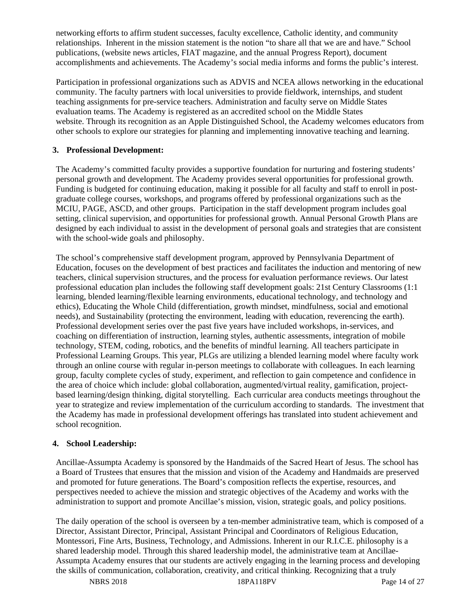networking efforts to affirm student successes, faculty excellence, Catholic identity, and community relationships. Inherent in the mission statement is the notion "to share all that we are and have." School publications, (website news articles, FIAT magazine, and the annual Progress Report), document accomplishments and achievements. The Academy's social media informs and forms the public's interest.

Participation in professional organizations such as ADVIS and NCEA allows networking in the educational community. The faculty partners with local universities to provide fieldwork, internships, and student teaching assignments for pre-service teachers. Administration and faculty serve on Middle States evaluation teams. The Academy is registered as an accredited school on the Middle States website. Through its recognition as an Apple Distinguished School, the Academy welcomes educators from other schools to explore our strategies for planning and implementing innovative teaching and learning.

#### **3. Professional Development:**

The Academy's committed faculty provides a supportive foundation for nurturing and fostering students' personal growth and development. The Academy provides several opportunities for professional growth. Funding is budgeted for continuing education, making it possible for all faculty and staff to enroll in postgraduate college courses, workshops, and programs offered by professional organizations such as the MCIU, PAGE, ASCD, and other groups. Participation in the staff development program includes goal setting, clinical supervision, and opportunities for professional growth. Annual Personal Growth Plans are designed by each individual to assist in the development of personal goals and strategies that are consistent with the school-wide goals and philosophy.

The school's comprehensive staff development program, approved by Pennsylvania Department of Education, focuses on the development of best practices and facilitates the induction and mentoring of new teachers, clinical supervision structures, and the process for evaluation performance reviews. Our latest professional education plan includes the following staff development goals: 21st Century Classrooms (1:1 learning, blended learning/flexible learning environments, educational technology, and technology and ethics), Educating the Whole Child (differentiation, growth mindset, mindfulness, social and emotional needs), and Sustainability (protecting the environment, leading with education, reverencing the earth). Professional development series over the past five years have included workshops, in-services, and coaching on differentiation of instruction, learning styles, authentic assessments, integration of mobile technology, STEM, coding, robotics, and the benefits of mindful learning. All teachers participate in Professional Learning Groups. This year, PLGs are utilizing a blended learning model where faculty work through an online course with regular in-person meetings to collaborate with colleagues. In each learning group, faculty complete cycles of study, experiment, and reflection to gain competence and confidence in the area of choice which include: global collaboration, augmented/virtual reality, gamification, projectbased learning/design thinking, digital storytelling. Each curricular area conducts meetings throughout the year to strategize and review implementation of the curriculum according to standards. The investment that the Academy has made in professional development offerings has translated into student achievement and school recognition.

### **4. School Leadership:**

Ancillae-Assumpta Academy is sponsored by the Handmaids of the Sacred Heart of Jesus. The school has a Board of Trustees that ensures that the mission and vision of the Academy and Handmaids are preserved and promoted for future generations. The Board's composition reflects the expertise, resources, and perspectives needed to achieve the mission and strategic objectives of the Academy and works with the administration to support and promote Ancillae's mission, vision, strategic goals, and policy positions.

The daily operation of the school is overseen by a ten-member administrative team, which is composed of a Director, Assistant Director, Principal, Assistant Principal and Coordinators of Religious Education, Montessori, Fine Arts, Business, Technology, and Admissions. Inherent in our R.I.C.E. philosophy is a shared leadership model. Through this shared leadership model, the administrative team at Ancillae-Assumpta Academy ensures that our students are actively engaging in the learning process and developing the skills of communication, collaboration, creativity, and critical thinking. Recognizing that a truly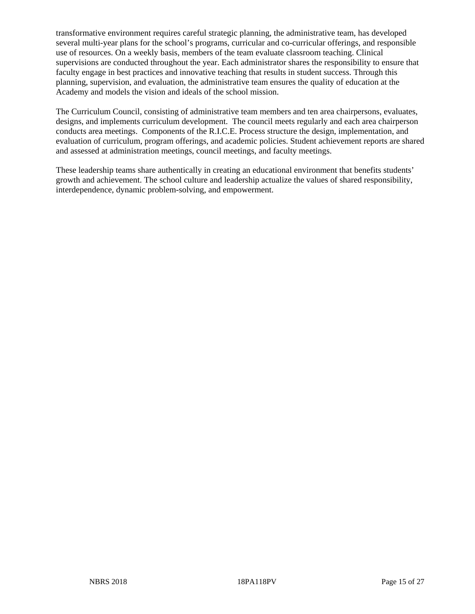transformative environment requires careful strategic planning, the administrative team, has developed several multi-year plans for the school's programs, curricular and co-curricular offerings, and responsible use of resources. On a weekly basis, members of the team evaluate classroom teaching. Clinical supervisions are conducted throughout the year. Each administrator shares the responsibility to ensure that faculty engage in best practices and innovative teaching that results in student success. Through this planning, supervision, and evaluation, the administrative team ensures the quality of education at the Academy and models the vision and ideals of the school mission.

The Curriculum Council, consisting of administrative team members and ten area chairpersons, evaluates, designs, and implements curriculum development. The council meets regularly and each area chairperson conducts area meetings. Components of the R.I.C.E. Process structure the design, implementation, and evaluation of curriculum, program offerings, and academic policies. Student achievement reports are shared and assessed at administration meetings, council meetings, and faculty meetings.

These leadership teams share authentically in creating an educational environment that benefits students' growth and achievement. The school culture and leadership actualize the values of shared responsibility, interdependence, dynamic problem-solving, and empowerment.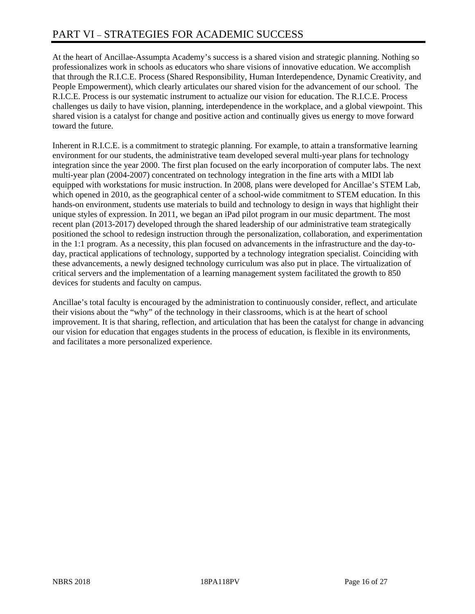At the heart of Ancillae-Assumpta Academy's success is a shared vision and strategic planning. Nothing so professionalizes work in schools as educators who share visions of innovative education. We accomplish that through the R.I.C.E. Process (Shared Responsibility, Human Interdependence, Dynamic Creativity, and People Empowerment), which clearly articulates our shared vision for the advancement of our school. The R.I.C.E. Process is our systematic instrument to actualize our vision for education. The R.I.C.E. Process challenges us daily to have vision, planning, interdependence in the workplace, and a global viewpoint. This shared vision is a catalyst for change and positive action and continually gives us energy to move forward toward the future.

Inherent in R.I.C.E. is a commitment to strategic planning. For example, to attain a transformative learning environment for our students, the administrative team developed several multi-year plans for technology integration since the year 2000. The first plan focused on the early incorporation of computer labs. The next multi-year plan (2004-2007) concentrated on technology integration in the fine arts with a MIDI lab equipped with workstations for music instruction. In 2008, plans were developed for Ancillae's STEM Lab, which opened in 2010, as the geographical center of a school-wide commitment to STEM education. In this hands-on environment, students use materials to build and technology to design in ways that highlight their unique styles of expression. In 2011, we began an iPad pilot program in our music department. The most recent plan (2013-2017) developed through the shared leadership of our administrative team strategically positioned the school to redesign instruction through the personalization, collaboration, and experimentation in the 1:1 program. As a necessity, this plan focused on advancements in the infrastructure and the day-today, practical applications of technology, supported by a technology integration specialist. Coinciding with these advancements, a newly designed technology curriculum was also put in place. The virtualization of critical servers and the implementation of a learning management system facilitated the growth to 850 devices for students and faculty on campus.

Ancillae's total faculty is encouraged by the administration to continuously consider, reflect, and articulate their visions about the "why" of the technology in their classrooms, which is at the heart of school improvement. It is that sharing, reflection, and articulation that has been the catalyst for change in advancing our vision for education that engages students in the process of education, is flexible in its environments, and facilitates a more personalized experience.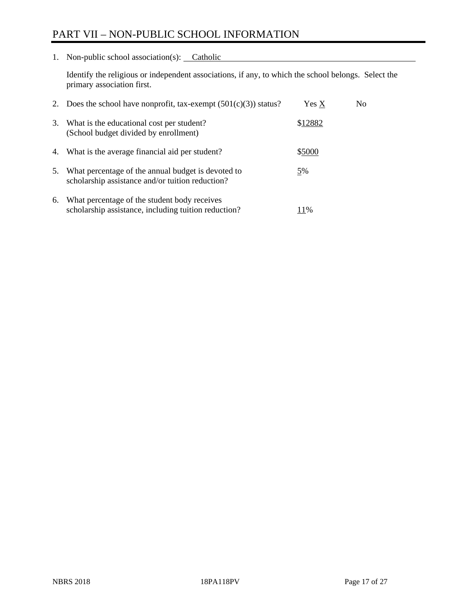# PART VII – NON-PUBLIC SCHOOL INFORMATION

1. Non-public school association(s): Catholic

Identify the religious or independent associations, if any, to which the school belongs. Select the primary association first.

| 2. | Does the school have nonprofit, tax-exempt $(501(c)(3))$ status?                                       | Yes X   | No. |
|----|--------------------------------------------------------------------------------------------------------|---------|-----|
| 3. | What is the educational cost per student?<br>(School budget divided by enrollment)                     | \$12882 |     |
| 4. | What is the average financial aid per student?                                                         | \$5000  |     |
| 5. | What percentage of the annual budget is devoted to<br>scholarship assistance and/or tuition reduction? | 5%      |     |
| 6. | What percentage of the student body receives<br>scholarship assistance, including tuition reduction?   | 11%     |     |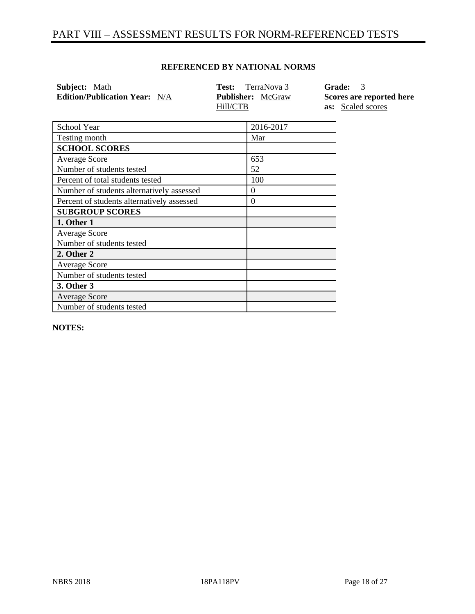# PART VIII – ASSESSMENT RESULTS FOR NORM-REFERENCED TESTS

### **REFERENCED BY NATIONAL NORMS**

| Subject: Math                        | <b>Test:</b> TerraNova 3             | Grade: 3                                             |
|--------------------------------------|--------------------------------------|------------------------------------------------------|
| <b>Edition/Publication Year:</b> N/A | <b>Publisher:</b> McGraw<br>Hill/CTB | Scores are reported here<br><b>as:</b> Scaled scores |

| School Year                                | 2016-2017 |
|--------------------------------------------|-----------|
| Testing month                              | Mar       |
| <b>SCHOOL SCORES</b>                       |           |
| <b>Average Score</b>                       | 653       |
| Number of students tested                  | 52        |
| Percent of total students tested           | 100       |
| Number of students alternatively assessed  | $\theta$  |
| Percent of students alternatively assessed | $\theta$  |
| <b>SUBGROUP SCORES</b>                     |           |
| 1. Other 1                                 |           |
| <b>Average Score</b>                       |           |
| Number of students tested                  |           |
| 2. Other 2                                 |           |
| <b>Average Score</b>                       |           |
| Number of students tested                  |           |
| 3. Other 3                                 |           |
| <b>Average Score</b>                       |           |
| Number of students tested                  |           |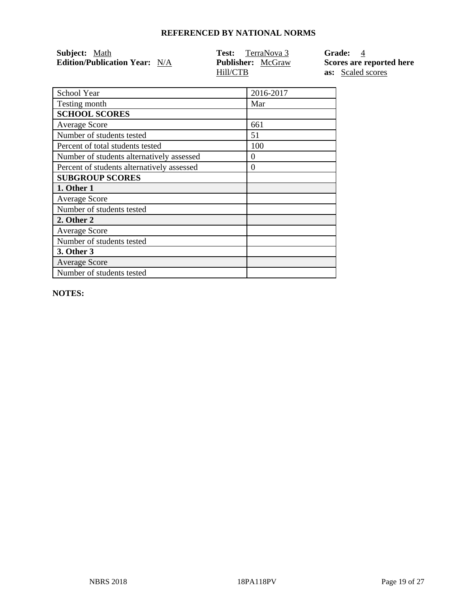| Subject: Math                        | <b>Test:</b> TerraNova 3 | <b>Grade:</b> 4          |
|--------------------------------------|--------------------------|--------------------------|
| <b>Edition/Publication Year:</b> N/A | <b>Publisher:</b> McGraw | Scores are reported here |
|                                      | Hill/CTB                 | <b>as:</b> Scaled scores |

| School Year                                | 2016-2017 |
|--------------------------------------------|-----------|
| Testing month                              | Mar       |
| <b>SCHOOL SCORES</b>                       |           |
| <b>Average Score</b>                       | 661       |
| Number of students tested                  | 51        |
| Percent of total students tested           | 100       |
| Number of students alternatively assessed  | $\theta$  |
| Percent of students alternatively assessed | $\Omega$  |
| <b>SUBGROUP SCORES</b>                     |           |
| 1. Other 1                                 |           |
| <b>Average Score</b>                       |           |
| Number of students tested                  |           |
| 2. Other 2                                 |           |
| <b>Average Score</b>                       |           |
| Number of students tested                  |           |
| 3. Other 3                                 |           |
| <b>Average Score</b>                       |           |
| Number of students tested                  |           |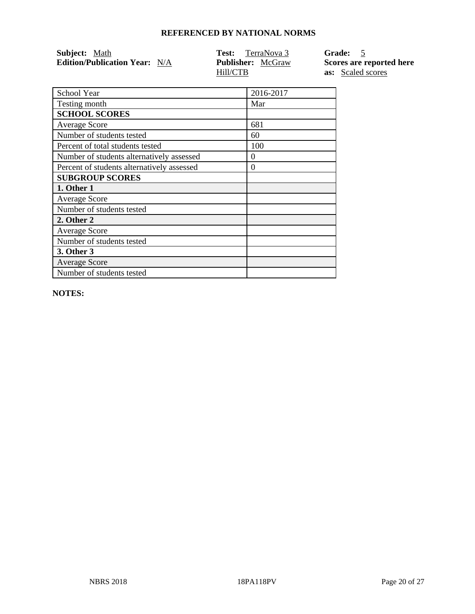| Subject: Math                        | TerraNova 3<br>Test:     | Grade: 5                 |
|--------------------------------------|--------------------------|--------------------------|
| <b>Edition/Publication Year:</b> N/A | <b>Publisher:</b> McGraw | Scores are reported here |
|                                      | Hill/CTB                 | <b>as:</b> Scaled scores |

| School Year                                | 2016-2017 |
|--------------------------------------------|-----------|
| Testing month                              | Mar       |
| <b>SCHOOL SCORES</b>                       |           |
| <b>Average Score</b>                       | 681       |
| Number of students tested                  | 60        |
| Percent of total students tested           | 100       |
| Number of students alternatively assessed  | $\theta$  |
| Percent of students alternatively assessed | $\theta$  |
| <b>SUBGROUP SCORES</b>                     |           |
| 1. Other 1                                 |           |
| <b>Average Score</b>                       |           |
| Number of students tested                  |           |
| 2. Other 2                                 |           |
| <b>Average Score</b>                       |           |
| Number of students tested                  |           |
| <b>3. Other 3</b>                          |           |
| <b>Average Score</b>                       |           |
| Number of students tested                  |           |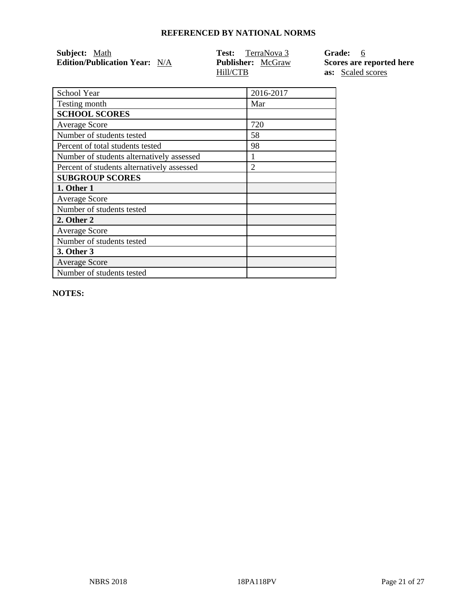| Subject: Math                        | TerraNova 3<br>Test:     | Grade: 6                 |
|--------------------------------------|--------------------------|--------------------------|
| <b>Edition/Publication Year:</b> N/A | <b>Publisher:</b> McGraw | Scores are reported here |
|                                      | Hill/CTB                 | <b>as:</b> Scaled scores |

| School Year                                | 2016-2017      |
|--------------------------------------------|----------------|
| Testing month                              | Mar            |
| <b>SCHOOL SCORES</b>                       |                |
| Average Score                              | 720            |
| Number of students tested                  | 58             |
| Percent of total students tested           | 98             |
| Number of students alternatively assessed  |                |
| Percent of students alternatively assessed | $\overline{2}$ |
| <b>SUBGROUP SCORES</b>                     |                |
| 1. Other 1                                 |                |
| <b>Average Score</b>                       |                |
| Number of students tested                  |                |
| 2. Other 2                                 |                |
| <b>Average Score</b>                       |                |
| Number of students tested                  |                |
| 3. Other 3                                 |                |
| <b>Average Score</b>                       |                |
| Number of students tested                  |                |
|                                            |                |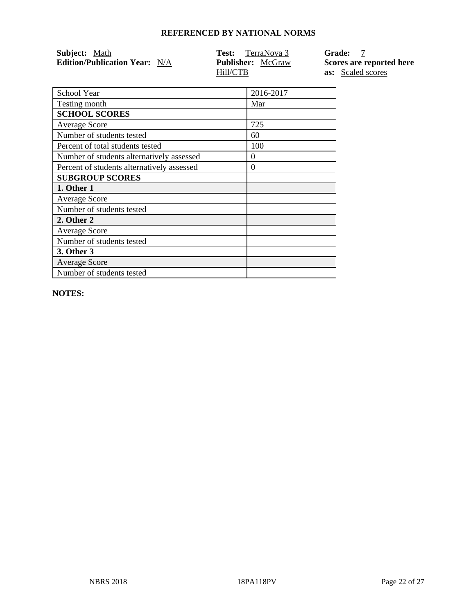| Subject: Math                        | <b>Test:</b> TerraNova 3 | Grade: 7                 |
|--------------------------------------|--------------------------|--------------------------|
| <b>Edition/Publication Year:</b> N/A | <b>Publisher:</b> McGraw | Scores are reported here |
|                                      | Hill/CTB                 | <b>as:</b> Scaled scores |

| School Year                                | 2016-2017 |
|--------------------------------------------|-----------|
| Testing month                              | Mar       |
| <b>SCHOOL SCORES</b>                       |           |
| <b>Average Score</b>                       | 725       |
| Number of students tested                  | 60        |
| Percent of total students tested           | 100       |
| Number of students alternatively assessed  | $\theta$  |
| Percent of students alternatively assessed | $\Omega$  |
| <b>SUBGROUP SCORES</b>                     |           |
| 1. Other 1                                 |           |
| <b>Average Score</b>                       |           |
| Number of students tested                  |           |
| 2. Other 2                                 |           |
| <b>Average Score</b>                       |           |
| Number of students tested                  |           |
| 3. Other 3                                 |           |
| <b>Average Score</b>                       |           |
| Number of students tested                  |           |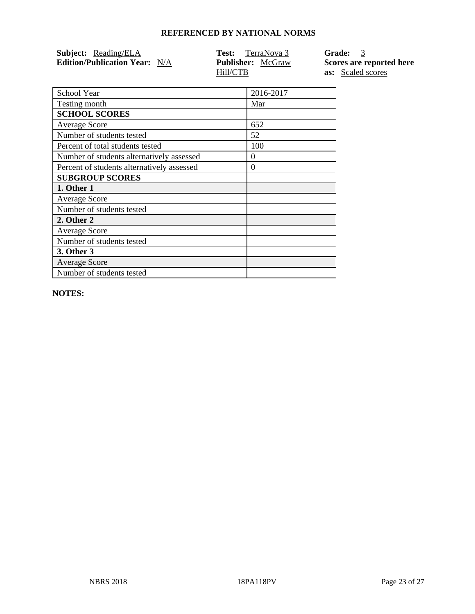| <b>Subject:</b> Reading/ELA          | <b>Test:</b> TerraNova 3 | Grade: 3                 |
|--------------------------------------|--------------------------|--------------------------|
| <b>Edition/Publication Year:</b> N/A | <b>Publisher:</b> McGraw | Scores are reported here |
|                                      | Hill/CTB                 | <b>as:</b> Scaled scores |

| School Year                                | 2016-2017 |
|--------------------------------------------|-----------|
| Testing month                              | Mar       |
| <b>SCHOOL SCORES</b>                       |           |
| <b>Average Score</b>                       | 652       |
| Number of students tested                  | 52        |
| Percent of total students tested           | 100       |
| Number of students alternatively assessed  | $\Omega$  |
| Percent of students alternatively assessed | $\theta$  |
| <b>SUBGROUP SCORES</b>                     |           |
| 1. Other 1                                 |           |
| <b>Average Score</b>                       |           |
| Number of students tested                  |           |
| 2. Other 2                                 |           |
|                                            |           |
| <b>Average Score</b>                       |           |
| Number of students tested                  |           |
| 3. Other 3                                 |           |
| <b>Average Score</b>                       |           |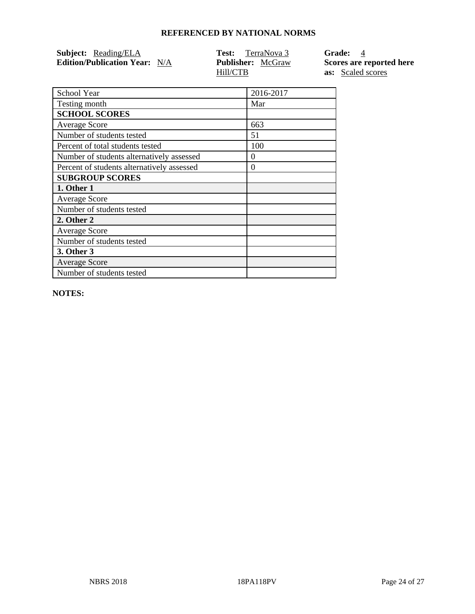| Subject: Reading/ELA                 | TerraNova 3<br>Test:     | Grade: 4                 |
|--------------------------------------|--------------------------|--------------------------|
| <b>Edition/Publication Year:</b> N/A | <b>Publisher:</b> McGraw | Scores are reported here |
|                                      | Hill/CTB                 | <b>as:</b> Scaled scores |

| School Year                                | 2016-2017 |
|--------------------------------------------|-----------|
| Testing month                              | Mar       |
| <b>SCHOOL SCORES</b>                       |           |
| <b>Average Score</b>                       | 663       |
| Number of students tested                  | 51        |
| Percent of total students tested           | 100       |
| Number of students alternatively assessed  | 0         |
| Percent of students alternatively assessed | $\Omega$  |
| <b>SUBGROUP SCORES</b>                     |           |
| 1. Other 1                                 |           |
| <b>Average Score</b>                       |           |
| Number of students tested                  |           |
| 2. Other 2                                 |           |
| <b>Average Score</b>                       |           |
|                                            |           |
| Number of students tested                  |           |
| <b>3. Other 3</b>                          |           |
| <b>Average Score</b>                       |           |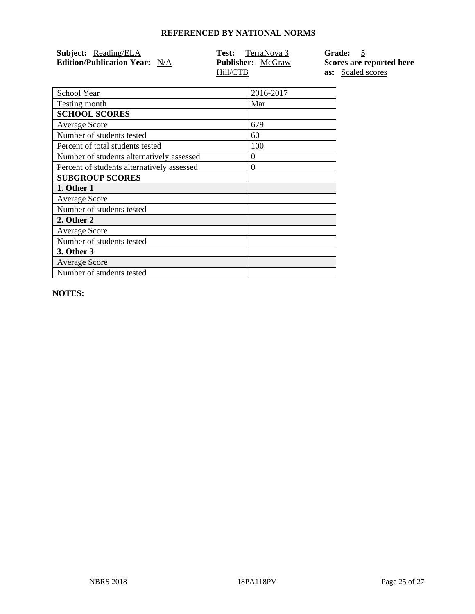| Subject: Reading/ELA                 | <b>Test:</b> TerraNova 3 | Grade: 5                 |
|--------------------------------------|--------------------------|--------------------------|
| <b>Edition/Publication Year:</b> N/A | <b>Publisher:</b> McGraw | Scores are reported here |
|                                      | Hill/CTB                 | <b>as:</b> Scaled scores |

| School Year                                | 2016-2017 |
|--------------------------------------------|-----------|
| Testing month                              | Mar       |
| <b>SCHOOL SCORES</b>                       |           |
| <b>Average Score</b>                       | 679       |
| Number of students tested                  | 60        |
| Percent of total students tested           | 100       |
| Number of students alternatively assessed  | $\theta$  |
| Percent of students alternatively assessed | $\theta$  |
| <b>SUBGROUP SCORES</b>                     |           |
| 1. Other 1                                 |           |
| <b>Average Score</b>                       |           |
| Number of students tested                  |           |
| 2. Other 2                                 |           |
| <b>Average Score</b>                       |           |
| Number of students tested                  |           |
| 3. Other 3                                 |           |
| <b>Average Score</b>                       |           |
| Number of students tested                  |           |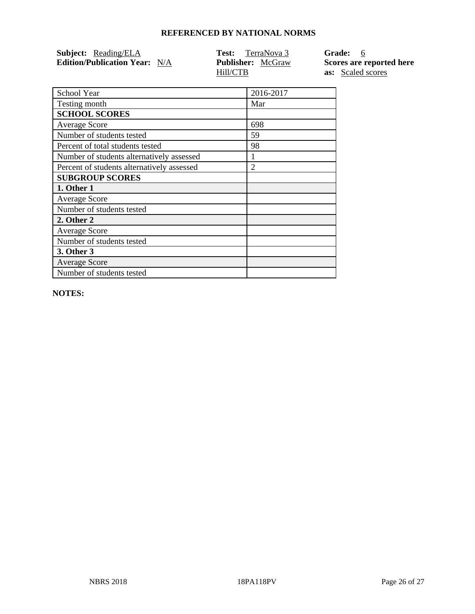| <b>Subject:</b> Reading/ELA          | <b>Test:</b> TerraNova 3 | Grade: 6                 |
|--------------------------------------|--------------------------|--------------------------|
| <b>Edition/Publication Year:</b> N/A | <b>Publisher:</b> McGraw | Scores are reported here |
|                                      | Hill/CTB                 | <b>as:</b> Scaled scores |

| School Year                                | 2016-2017      |
|--------------------------------------------|----------------|
| Testing month                              | Mar            |
| <b>SCHOOL SCORES</b>                       |                |
| <b>Average Score</b>                       | 698            |
| Number of students tested                  | 59             |
| Percent of total students tested           | 98             |
| Number of students alternatively assessed  |                |
| Percent of students alternatively assessed | $\overline{2}$ |
| <b>SUBGROUP SCORES</b>                     |                |
| 1. Other 1                                 |                |
| <b>Average Score</b>                       |                |
| Number of students tested                  |                |
| 2. Other 2                                 |                |
| <b>Average Score</b>                       |                |
| Number of students tested                  |                |
| <b>3. Other 3</b>                          |                |
| <b>Average Score</b>                       |                |
| Number of students tested                  |                |